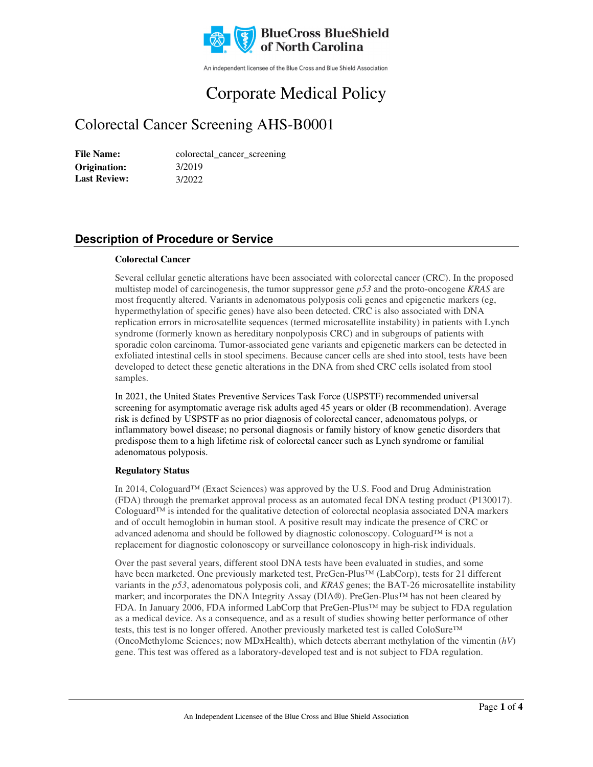

An independent licensee of the Blue Cross and Blue Shield Association

# Corporate Medical Policy

## Colorectal Cancer Screening AHS-B0001

File Name: colorectal\_cancer\_screening 3/2019 3/2022 **Origination: Last Review:** 

### **Description of Procedure or Service**

#### **Colorectal Cancer**

Several cellular genetic alterations have been associated with colorectal cancer (CRC). In the proposed multistep model of carcinogenesis, the tumor suppressor gene *p53* and the proto-oncogene *KRAS* are most frequently altered. Variants in adenomatous polyposis coli genes and epigenetic markers (eg, hypermethylation of specific genes) have also been detected. CRC is also associated with DNA replication errors in microsatellite sequences (termed microsatellite instability) in patients with Lynch syndrome (formerly known as hereditary nonpolyposis CRC) and in subgroups of patients with sporadic colon carcinoma. Tumor-associated gene variants and epigenetic markers can be detected in exfoliated intestinal cells in stool specimens. Because cancer cells are shed into stool, tests have been developed to detect these genetic alterations in the DNA from shed CRC cells isolated from stool samples.

In 2021, the United States Preventive Services Task Force (USPSTF) recommended universal screening for asymptomatic average risk adults aged 45 years or older (B recommendation). Average risk is defined by USPSTF as no prior diagnosis of colorectal cancer, adenomatous polyps, or inflammatory bowel disease; no personal diagnosis or family history of know genetic disorders that predispose them to a high lifetime risk of colorectal cancer such as Lynch syndrome or familial adenomatous polyposis.

#### **Regulatory Status**

In 2014, Cologuard™ (Exact Sciences) was approved by the U.S. Food and Drug Administration (FDA) through the premarket approval process as an automated fecal DNA testing product (P130017). Cologuard™ is intended for the qualitative detection of colorectal neoplasia associated DNA markers and of occult hemoglobin in human stool. A positive result may indicate the presence of CRC or advanced adenoma and should be followed by diagnostic colonoscopy. Cologuard™ is not a replacement for diagnostic colonoscopy or surveillance colonoscopy in high-risk individuals.

Over the past several years, different stool DNA tests have been evaluated in studies, and some have been marketed. One previously marketed test, PreGen-Plus™ (LabCorp), tests for 21 different variants in the *p53*, adenomatous polyposis coli, and *KRAS* genes; the BAT-26 microsatellite instability marker; and incorporates the DNA Integrity Assay (DIA®). PreGen-Plus™ has not been cleared by FDA. In January 2006, FDA informed LabCorp that PreGen-Plus™ may be subject to FDA regulation as a medical device. As a consequence, and as a result of studies showing better performance of other tests, this test is no longer offered. Another previously marketed test is called ColoSure™ (OncoMethylome Sciences; now MDxHealth), which detects aberrant methylation of the vimentin (*hV*) gene. This test was offered as a laboratory-developed test and is not subject to FDA regulation.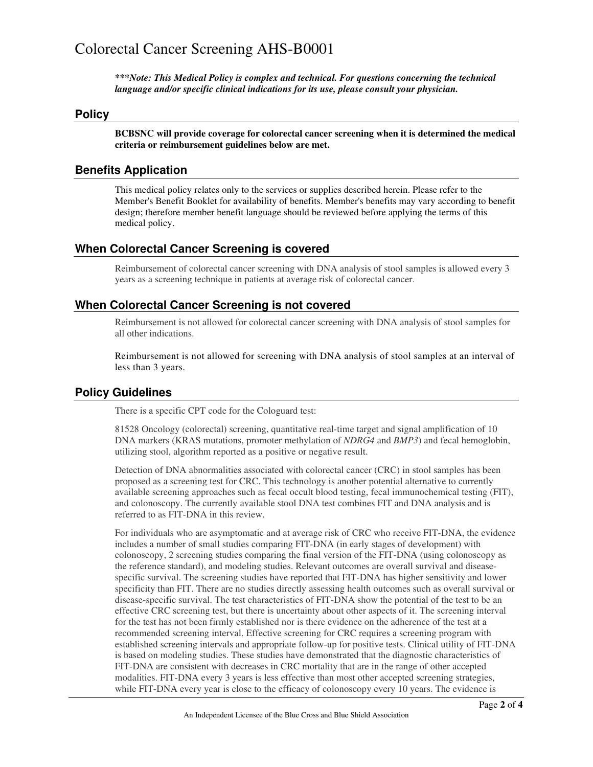### Colorectal Cancer Screening AHS-B0001

*\*\*\*Note: This Medical Policy is complex and technical. For questions concerning the technical language and/or specific clinical indications for its use, please consult your physician.*

#### **Policy**

**BCBSNC will provide coverage for colorectal cancer screening when it is determined the medical criteria or reimbursement guidelines below are met.**

#### **Benefits Application**

This medical policy relates only to the services or supplies described herein. Please refer to the Member's Benefit Booklet for availability of benefits. Member's benefits may vary according to benefit design; therefore member benefit language should be reviewed before applying the terms of this medical policy.

#### **When Colorectal Cancer Screening is covered**

Reimbursement of colorectal cancer screening with DNA analysis of stool samples is allowed every 3 years as a screening technique in patients at average risk of colorectal cancer.

#### **When Colorectal Cancer Screening is not covered**

Reimbursement is not allowed for colorectal cancer screening with DNA analysis of stool samples for all other indications.

Reimbursement is not allowed for screening with DNA analysis of stool samples at an interval of less than 3 years.

#### **Policy Guidelines**

There is a specific CPT code for the Cologuard test:

81528 Oncology (colorectal) screening, quantitative real-time target and signal amplification of 10 DNA markers (KRAS mutations, promoter methylation of *NDRG4* and *BMP3*) and fecal hemoglobin, utilizing stool, algorithm reported as a positive or negative result.

Detection of DNA abnormalities associated with colorectal cancer (CRC) in stool samples has been proposed as a screening test for CRC. This technology is another potential alternative to currently available screening approaches such as fecal occult blood testing, fecal immunochemical testing (FIT), and colonoscopy. The currently available stool DNA test combines FIT and DNA analysis and is referred to as FIT-DNA in this review.

For individuals who are asymptomatic and at average risk of CRC who receive FIT-DNA, the evidence includes a number of small studies comparing FIT-DNA (in early stages of development) with colonoscopy, 2 screening studies comparing the final version of the FIT-DNA (using colonoscopy as the reference standard), and modeling studies. Relevant outcomes are overall survival and diseasespecific survival. The screening studies have reported that FIT-DNA has higher sensitivity and lower specificity than FIT. There are no studies directly assessing health outcomes such as overall survival or disease-specific survival. The test characteristics of FIT-DNA show the potential of the test to be an effective CRC screening test, but there is uncertainty about other aspects of it. The screening interval for the test has not been firmly established nor is there evidence on the adherence of the test at a recommended screening interval. Effective screening for CRC requires a screening program with established screening intervals and appropriate follow-up for positive tests. Clinical utility of FIT-DNA is based on modeling studies. These studies have demonstrated that the diagnostic characteristics of FIT-DNA are consistent with decreases in CRC mortality that are in the range of other accepted modalities. FIT-DNA every 3 years is less effective than most other accepted screening strategies, while FIT-DNA every year is close to the efficacy of colonoscopy every 10 years. The evidence is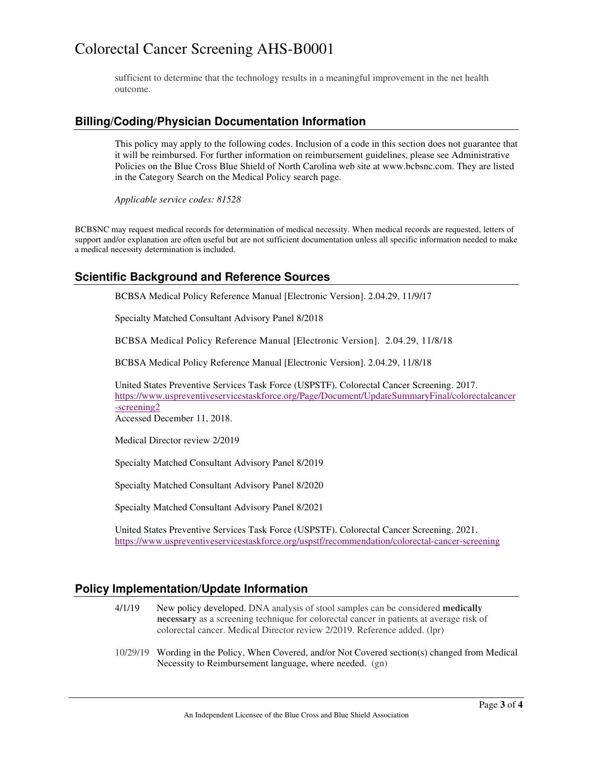### Colorectal Cancer Screening AHS-B0001

sufficient to determine that the technology results in a meaningful improvement in the net health outcome.

#### **Billing/Coding/Physician Documentation Information**

This policy may apply to the following codes. Inclusion of a code in this section does not guarantee that it will be reimbursed. For further information on reimbursement guidelines, please see Administrative Policies on the Blue Cross Blue Shield of North Carolina web site at www.bcbsnc.com. They are listed in the Category Search on the Medical Policy search page.

*Applicable service codes: 81528*

BCBSNC may request medical records for determination of medical necessity. When medical records are requested, letters of support and/or explanation are often useful but are not sufficient documentation unless all specific information needed to make a medical necessity determination is included.

#### **Scientific Background and Reference Sources**

BCBSA Medical Policy Reference Manual [Electronic Version]. 2.04.29, 11/9/17

Specialty Matched Consultant Advisory Panel 8/2018

BCBSA Medical Policy Reference Manual [Electronic Version]. 2.04.29, 11/8/18

BCBSA Medical Policy Reference Manual [Electronic Version]. 2.04.29, 11/8/18

United States Preventive Services Task Force (USPSTF). Colorectal Cancer Screening. 2017. https://www.uspreventiveservicestaskforce.org/Page/Document/UpdateSummaryFinal/colorectalcancer -screening2

Accessed December 11, 2018.

Medical Director review 2/2019

Specialty Matched Consultant Advisory Panel 8/2019

Specialty Matched Consultant Advisory Panel 8/2020

Specialty Matched Consultant Advisory Panel 8/2021

United States Preventive Services Task Force (USPSTF). Colorectal Cancer Screening. 2021. https://www.uspreventiveservicestaskforce.org/uspstf/recommendation/colorectal-cancer-screening

#### **Policy Implementation/Update Information**

- 4/1/19 New policy developed. DNA analysis of stool samples can be considered **medically necessary** as a screening technique for colorectal cancer in patients at average risk of colorectal cancer. Medical Director review 2/2019. Reference added. (lpr)
- 10/29/19 Wording in the Policy, When Covered, and/or Not Covered section(s) changed from Medical Necessity to Reimbursement language, where needed. (gn)